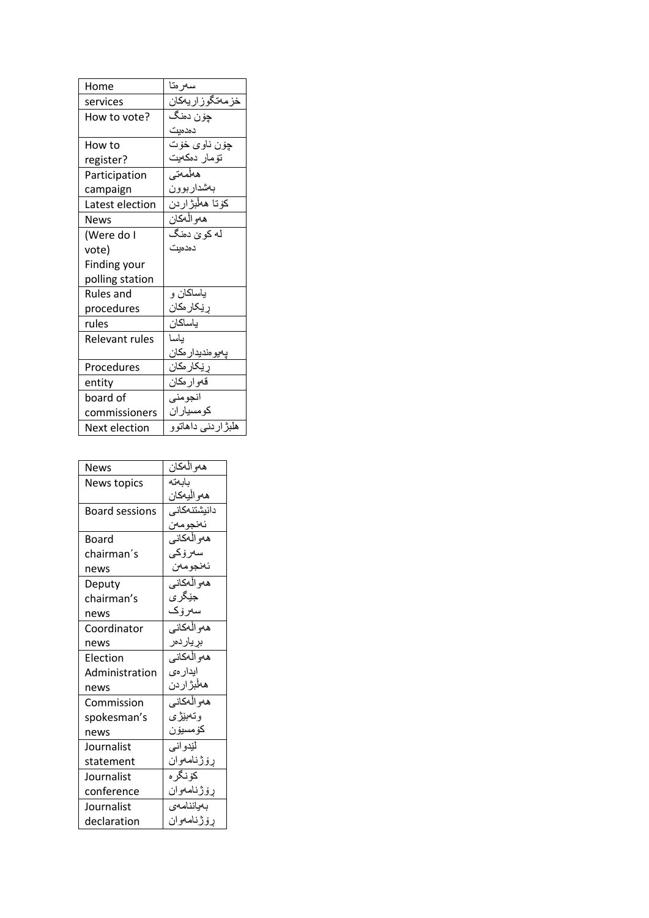| Home                  | سەر ەتا              |
|-----------------------|----------------------|
| services              | خزمەتگوزاريەكان      |
| How to vote?          | چۆن دەنگ             |
|                       | دەدەبت               |
| How to                | چۆن ناوي خۆت         |
| register?             | تۆمار دەكەيت         |
| Participation         | هلفمنتي              |
| campaign              | بەشداربوون           |
| Latest election       | كۆتا ھەلبژاردن       |
| <b>News</b>           | هەو الْـهكان         |
| (Were do I            | <u>له کوئ دهنگ</u>   |
| vote)                 | دمدمىت               |
| Finding your          |                      |
| polling station       |                      |
| Rules and             | ياساكان و            |
| procedures            | ر ێکار مکان          |
| rules                 | ياساكان              |
| <b>Relevant rules</b> | ىاسا                 |
|                       | ميو منديدار مكان     |
| Procedures            | ر ێکار مکان          |
| entity                | قەو ار مكان          |
| board of              | انجو مني             |
| commissioners         | كومسياران            |
| Next election         | هلبژ ار دنبي داهاتوو |

| <b>News</b>           | هەو الْهكان     |
|-----------------------|-----------------|
| News topics           | بابهته          |
|                       | هەو الْيەكان    |
| <b>Board sessions</b> | دانيشتنهكانى    |
|                       | ئەنجومەن        |
| Board                 | ههو الْهكاني    |
| chairman´s            | سەرۆكى          |
| news                  | ئەنجومەن        |
| Deputy                | ههواللكاني      |
| chairman's            | جێڱرؠ           |
| news                  | سەرۆك           |
| Coordinator           | هەو الْهكانى    |
| news                  | برياردمر        |
| Election              | ههو الْهكاني    |
| Administration        | ايدار مى        |
| news                  | مطنزاردن        |
| Commission            | هەو الْـەكـانـى |
| spokesman's           | وتەبێژى         |
| news                  | كۆمسيۆن         |
| Journalist            | لێدو انبي       |
| statement             | رۆژنامەوان      |
| Journalist            | کۆنگر ه         |
| conference            | رۆژنامەوان      |
| Journalist            | بمياننامەي      |
| declaration           | رۆژنامەوان      |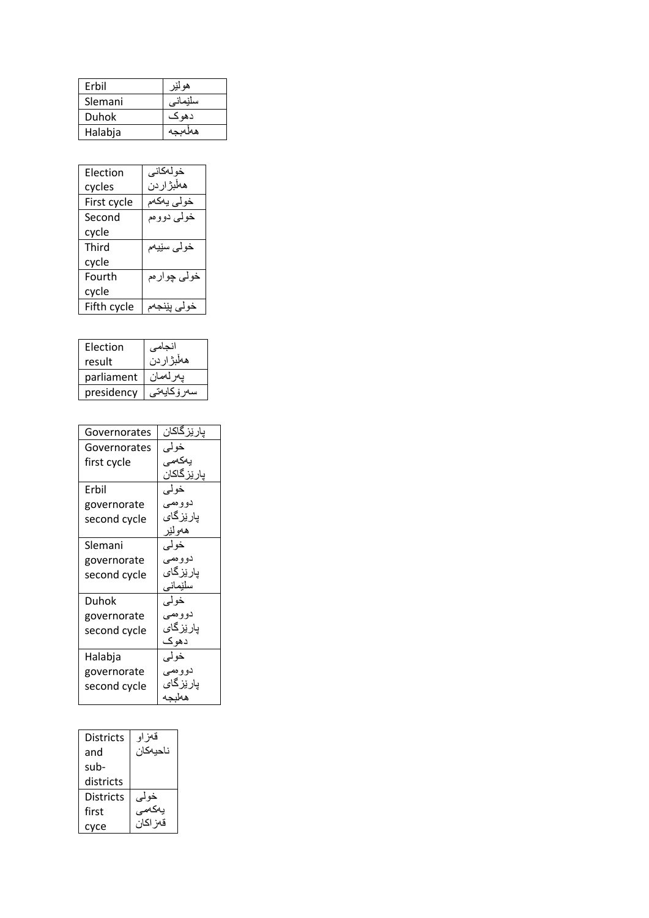| Erbil   | هويير |
|---------|-------|
| Slemani |       |
| Duhok   | دھو ک |
| Halabja |       |
|         |       |

| Election    | خولهكاني     |
|-------------|--------------|
| cycles      | هطْبژ ار دن  |
| First cycle | خولی پەكەم   |
| Second      | خولي دوومم   |
| cycle       |              |
| Third       | خولي سێيەم   |
| cycle       |              |
| Fourth      | خولی چوار مم |
| cycle       |              |
| Fifth cycle | خو لے پێِن   |

| Election   |            |
|------------|------------|
| result     | هطبژ ار دن |
| parliament |            |
| presidency |            |

| Governorates | بار ێز گاکان               |
|--------------|----------------------------|
| Governorates | خو لہے                     |
| first cycle  | بەكەمى                     |
|              | يار ێز گاکان               |
| Erbil        | خو لے                      |
| governorate  | دووهمى                     |
| second cycle | يار <u>ێ</u> ز گا <i>ی</i> |
|              | هەو لَيْر                  |
| Slemani      | خولى                       |
| governorate  | دو و همی                   |
| second cycle | بار ێز گا <i>ی</i>         |
|              | سلێماني                    |
| Duhok        | خو لے                      |
| governorate  | دو و همے ِ                 |
| second cycle | بار ێز گا <i>ی</i>         |
|              | دهوك                       |
| Halabja      | خولى                       |
| governorate  | دووهمى                     |
| second cycle | يار <u>نز</u> گا <i>ی</i>  |
|              |                            |

| Districts        | قه<br>ېز او |
|------------------|-------------|
| and              | ناحيهكان    |
| sub-             |             |
| districts        |             |
| <b>Districts</b> | خولى        |
| first            |             |
| ce<br>С١         | قەز اكان    |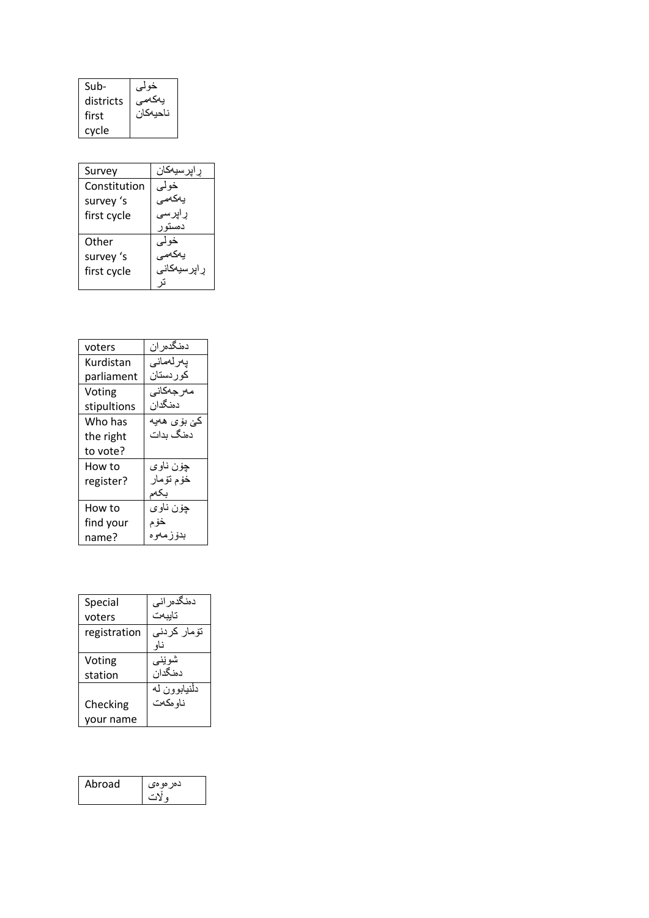| Sub-      | خولی     |
|-----------|----------|
| districts | ىەكەمى   |
| first     | ناحيهكان |
| cycle     |          |

| Survey       | اپر سیهکان |
|--------------|------------|
| Constitution | خو لے ِ    |
| survey 's    | بەكەمى     |
| first cycle  | رایرسی     |
|              | دمسته      |
| Other        | خو لي      |
| survey 's    | بەكەمے،    |
| first cycle  | رايرسيه    |
|              |            |

| voters      | دمنگدمر ان          |
|-------------|---------------------|
| Kurdistan   | بەر لەمانى          |
| parliament  | كور دستان           |
| Voting      | مەر جەكانى          |
| stipultions | دمنگدان             |
| Who has     | کێ بۆ <i>ی</i> ھەيە |
| the right   | دمنگ بدات           |
| to vote?    |                     |
| How to      | چۆن ناوي            |
| register?   | خۆم تۆمار           |
|             | ىكەم                |
| How to      | چۆن ناوي            |
| find your   | خۆ م                |
| name?       | بدۆ ز مەو ە         |

| Special      | دەنگدەر انى         |
|--------------|---------------------|
| voters       | تايبەت              |
| registration | تۆمار كردن <i>ى</i> |
|              | ناه                 |
| Voting       | شوێني               |
| station      | دمنگدان             |
|              | دلنيابوون له        |
| Checking     | ناو مکەت            |
| vour name    |                     |

| Abroad | دەر مو ەي |  |
|--------|-----------|--|
|--------|-----------|--|